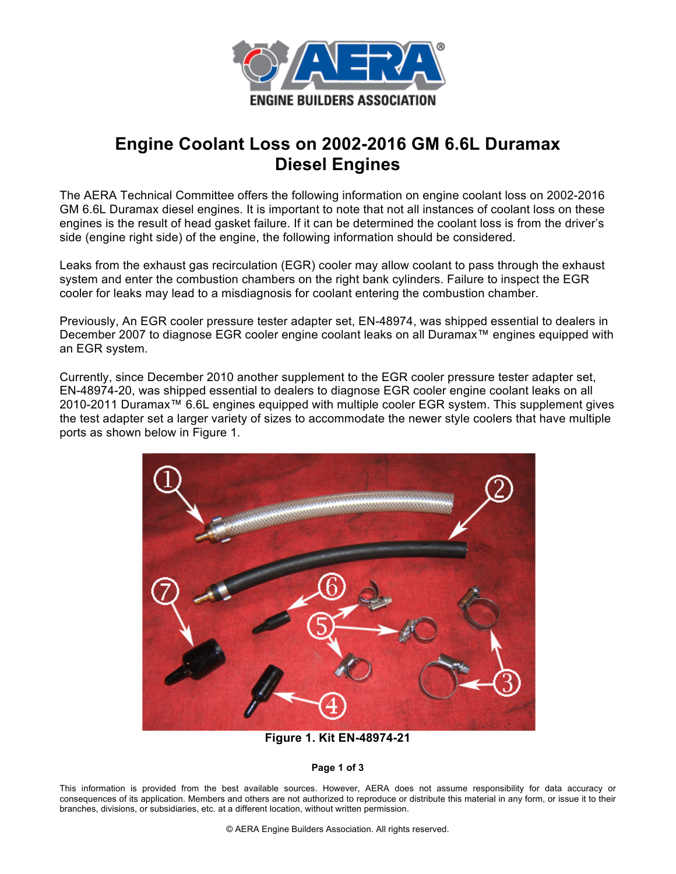

## **Engine Coolant Loss on 2002-2016 GM 6.6L Duramax Diesel Engines**

The AERA Technical Committee offers the following information on engine coolant loss on 2002-2016 GM 6.6L Duramax diesel engines. It is important to note that not all instances of coolant loss on these engines is the result of head gasket failure. If it can be determined the coolant loss is from the driver's side (engine right side) of the engine, the following information should be considered.

Leaks from the exhaust gas recirculation (EGR) cooler may allow coolant to pass through the exhaust system and enter the combustion chambers on the right bank cylinders. Failure to inspect the EGR cooler for leaks may lead to a misdiagnosis for coolant entering the combustion chamber.

Previously, An EGR cooler pressure tester adapter set, EN-48974, was shipped essential to dealers in December 2007 to diagnose EGR cooler engine coolant leaks on all Duramax™ engines equipped with an EGR system.

Currently, since December 2010 another supplement to the EGR cooler pressure tester adapter set, EN-48974-20, was shipped essential to dealers to diagnose EGR cooler engine coolant leaks on all 2010-2011 Duramax™ 6.6L engines equipped with multiple cooler EGR system. This supplement gives the test adapter set a larger variety of sizes to accommodate the newer style coolers that have multiple ports as shown below in Figure 1.



**Figure 1. Kit EN-48974-21**

## **Page 1 of 3**

This information is provided from the best available sources. However, AERA does not assume responsibility for data accuracy or consequences of its application. Members and others are not authorized to reproduce or distribute this material in any form, or issue it to their branches, divisions, or subsidiaries, etc. at a different location, without written permission.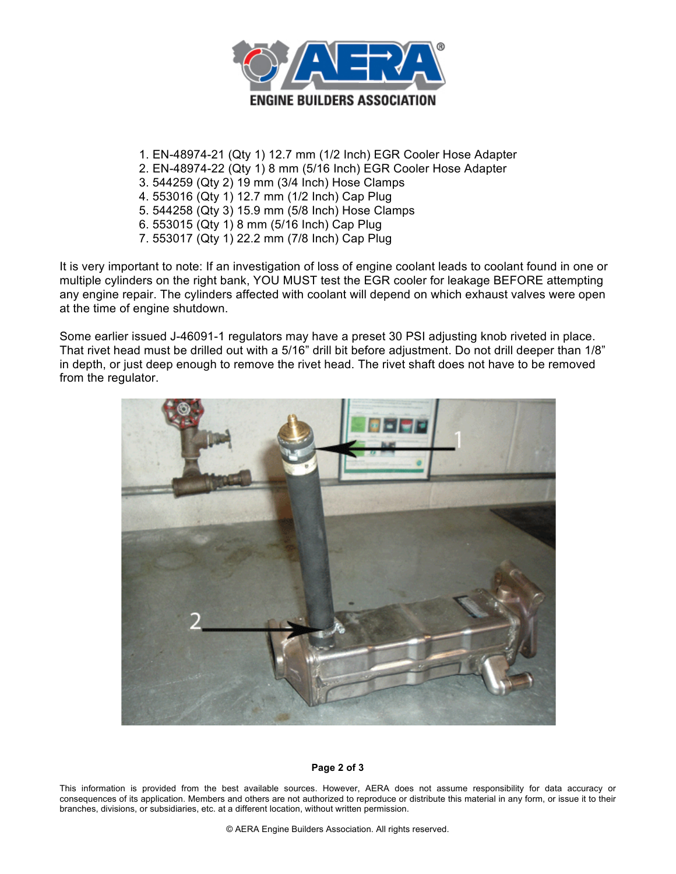

- 1. EN-48974-21 (Qty 1) 12.7 mm (1/2 Inch) EGR Cooler Hose Adapter
- 2. EN-48974-22 (Qty 1) 8 mm (5/16 Inch) EGR Cooler Hose Adapter
- 3. 544259 (Qty 2) 19 mm (3/4 Inch) Hose Clamps
- 4. 553016 (Qty 1) 12.7 mm (1/2 Inch) Cap Plug
- 5. 544258 (Qty 3) 15.9 mm (5/8 Inch) Hose Clamps
- 6. 553015 (Qty 1) 8 mm (5/16 Inch) Cap Plug
- 7. 553017 (Qty 1) 22.2 mm (7/8 Inch) Cap Plug

It is very important to note: If an investigation of loss of engine coolant leads to coolant found in one or multiple cylinders on the right bank, YOU MUST test the EGR cooler for leakage BEFORE attempting any engine repair. The cylinders affected with coolant will depend on which exhaust valves were open at the time of engine shutdown.

Some earlier issued J-46091-1 regulators may have a preset 30 PSI adjusting knob riveted in place. That rivet head must be drilled out with a 5/16" drill bit before adjustment. Do not drill deeper than 1/8" in depth, or just deep enough to remove the rivet head. The rivet shaft does not have to be removed from the regulator.



## **Page 2 of 3**

This information is provided from the best available sources. However, AERA does not assume responsibility for data accuracy or consequences of its application. Members and others are not authorized to reproduce or distribute this material in any form, or issue it to their branches, divisions, or subsidiaries, etc. at a different location, without written permission.